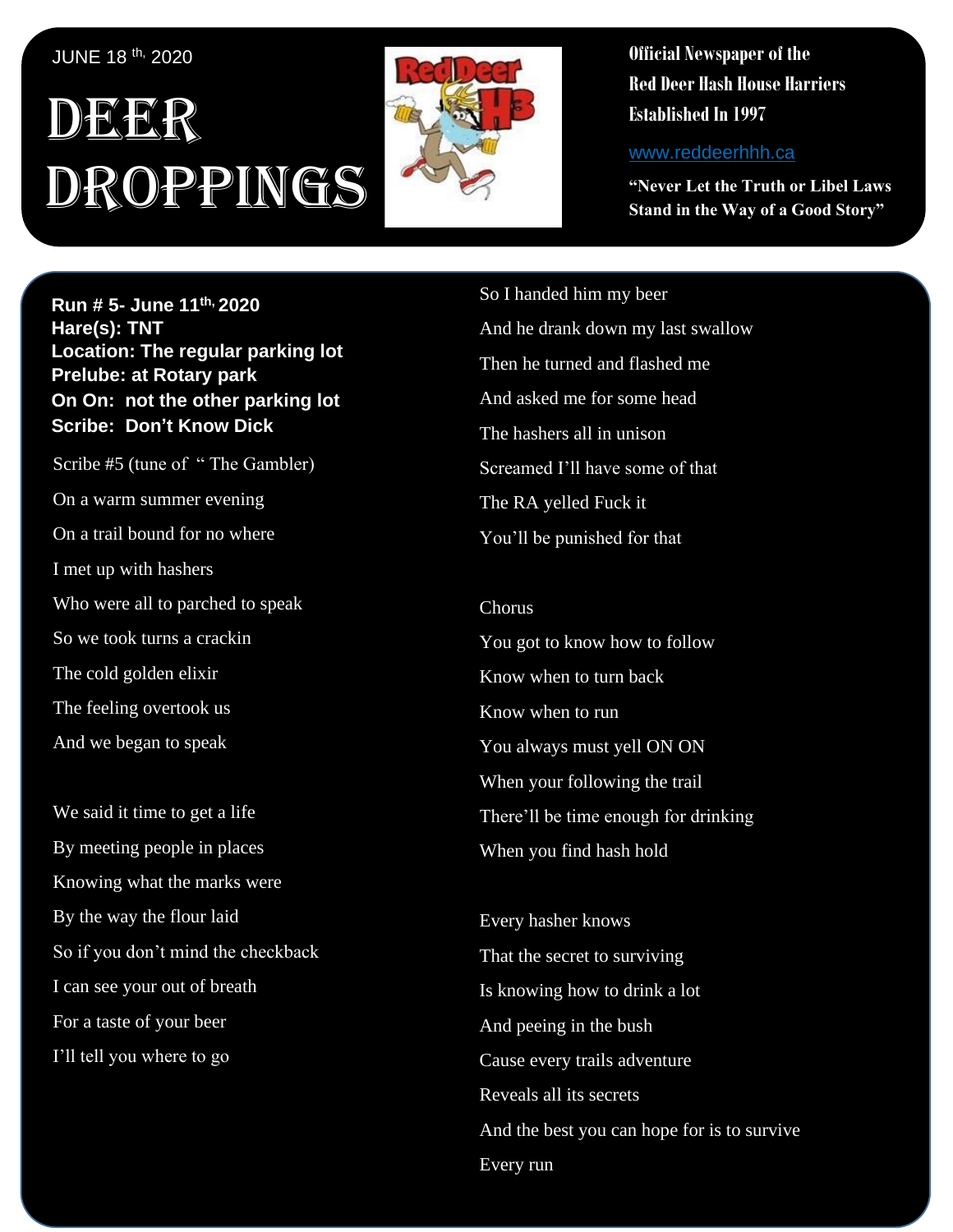## JUNE 18 th, 2020

## , 1 DEER Droppings



**Official Newspaper of the Red Deer Hash House Harriers Established In 1997** 

www.reddeerhhh.ca

**"Never Let the Truth or Libel Laws Stand in the Way of a Good Story"**

**Hare(s): Deep Throat with a little help from her Run # 5- June 11th, 2020 virgin friend Hare(s): TNT Location: The regular parking lot Prelube: at Rotary park On On: not the other parking lot Sir Sirre A Who Stribe per Chips A Scribe: Don't Know Dick** 

*Scribe #5 (tune of* "The Gambler) On a warm summer evening On a trail bound for no where I met up with hashers so I met up with **Curb Crawler**, **TNT**, **Slippery When**  So we took turns a crackin The cold golden elixir The feeling overtook us And we began to speak Who were all to parched to speak

We said it time to get a life By meeting people in places Knowing what the marks were By the way the flour laid So if you don't mind the checkback  $\mathcal{L}_{\text{max}}$ I can see your out of breath For a taste of your beer I'll tell you where to go

So I handed him my beer And he drank down my last swallow Then he turned and flashed me And asked me for some head The hashers all in unison Screamed I'll have some of that The RA yelled Fuck it You'll be punished for that

Chorus You got to know how to follow Know when to turn back Know when to run You always must yell ON ON When your following the trail There'll be time enough for drinking When you find hash hold

Every hasher knows That the secret to surviving Is knowing how to drink a lot And peeing in the bush Cause every trails adventure Reveals all its secrets And the best you can hope for is to survive Every run